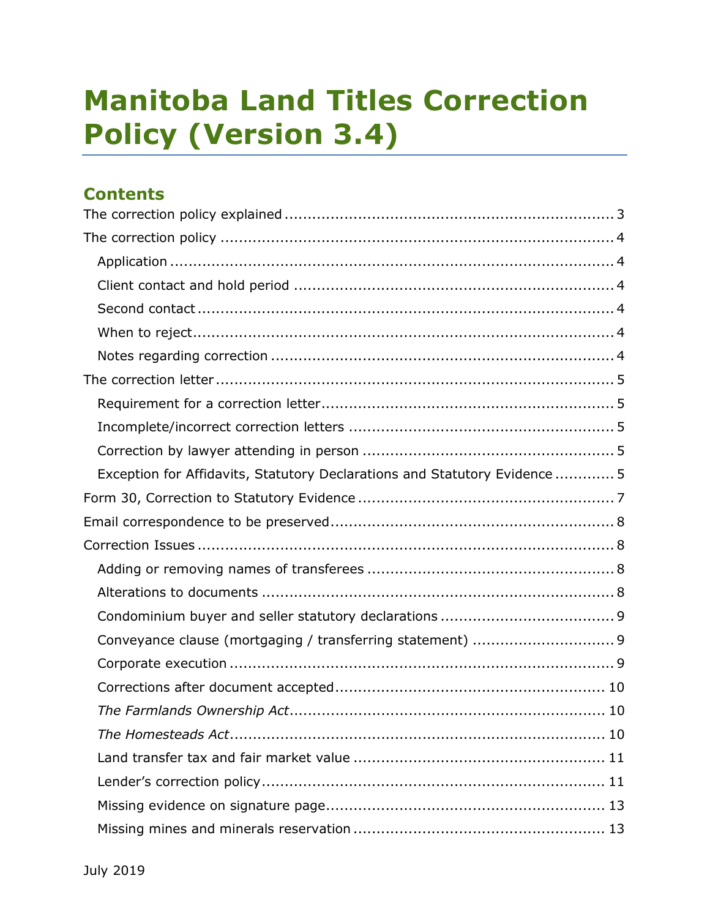# Manitoba Land Titles Correction Policy (Version 3.4)

# **Contents**

| Exception for Affidavits, Statutory Declarations and Statutory Evidence 5 |
|---------------------------------------------------------------------------|
|                                                                           |
|                                                                           |
|                                                                           |
|                                                                           |
|                                                                           |
|                                                                           |
|                                                                           |
|                                                                           |
|                                                                           |
|                                                                           |
|                                                                           |
|                                                                           |
|                                                                           |
|                                                                           |
|                                                                           |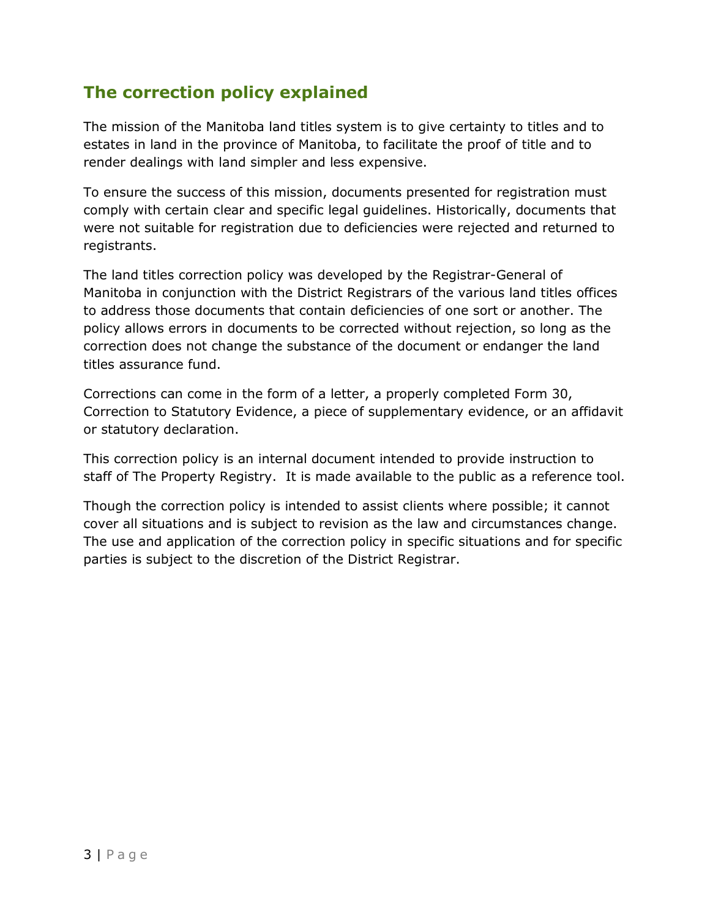# The correction policy explained

The mission of the Manitoba land titles system is to give certainty to titles and to estates in land in the province of Manitoba, to facilitate the proof of title and to render dealings with land simpler and less expensive.

To ensure the success of this mission, documents presented for registration must comply with certain clear and specific legal guidelines. Historically, documents that were not suitable for registration due to deficiencies were rejected and returned to registrants.

The land titles correction policy was developed by the Registrar-General of Manitoba in conjunction with the District Registrars of the various land titles offices to address those documents that contain deficiencies of one sort or another. The policy allows errors in documents to be corrected without rejection, so long as the correction does not change the substance of the document or endanger the land titles assurance fund.

Corrections can come in the form of a letter, a properly completed Form 30, Correction to Statutory Evidence, a piece of supplementary evidence, or an affidavit or statutory declaration.

This correction policy is an internal document intended to provide instruction to staff of The Property Registry. It is made available to the public as a reference tool.

Though the correction policy is intended to assist clients where possible; it cannot cover all situations and is subject to revision as the law and circumstances change. The use and application of the correction policy in specific situations and for specific parties is subject to the discretion of the District Registrar.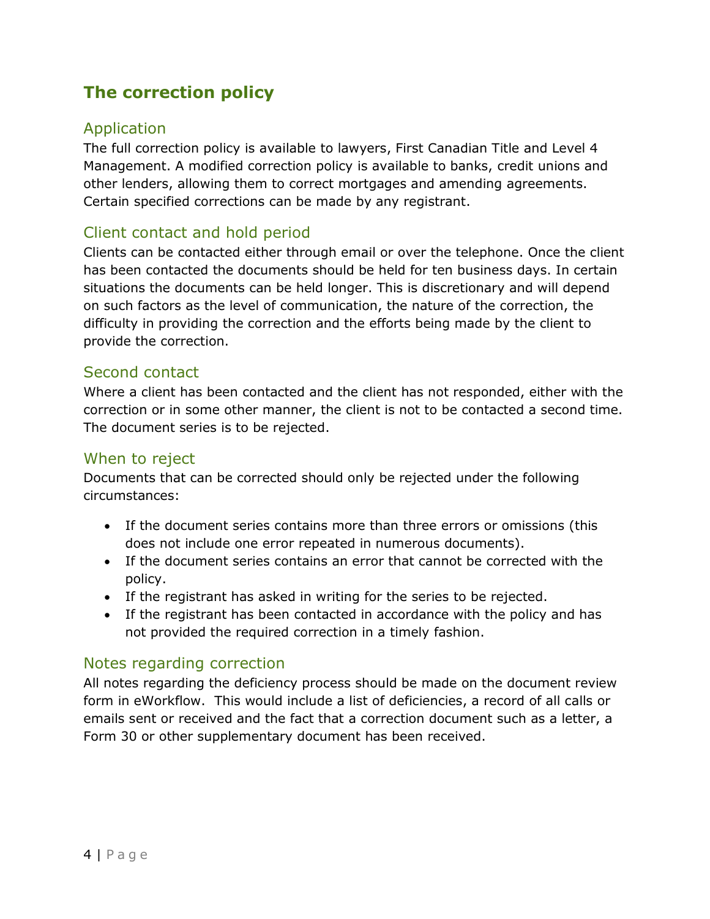# The correction policy

## Application

The full correction policy is available to lawyers, First Canadian Title and Level 4 Management. A modified correction policy is available to banks, credit unions and other lenders, allowing them to correct mortgages and amending agreements. Certain specified corrections can be made by any registrant.

#### Client contact and hold period

Clients can be contacted either through email or over the telephone. Once the client has been contacted the documents should be held for ten business days. In certain situations the documents can be held longer. This is discretionary and will depend on such factors as the level of communication, the nature of the correction, the difficulty in providing the correction and the efforts being made by the client to provide the correction.

#### Second contact

Where a client has been contacted and the client has not responded, either with the correction or in some other manner, the client is not to be contacted a second time. The document series is to be rejected.

#### When to reject

Documents that can be corrected should only be rejected under the following circumstances:

- If the document series contains more than three errors or omissions (this does not include one error repeated in numerous documents).
- If the document series contains an error that cannot be corrected with the policy.
- If the registrant has asked in writing for the series to be rejected.
- If the registrant has been contacted in accordance with the policy and has not provided the required correction in a timely fashion.

#### Notes regarding correction

All notes regarding the deficiency process should be made on the document review form in eWorkflow. This would include a list of deficiencies, a record of all calls or emails sent or received and the fact that a correction document such as a letter, a Form 30 or other supplementary document has been received.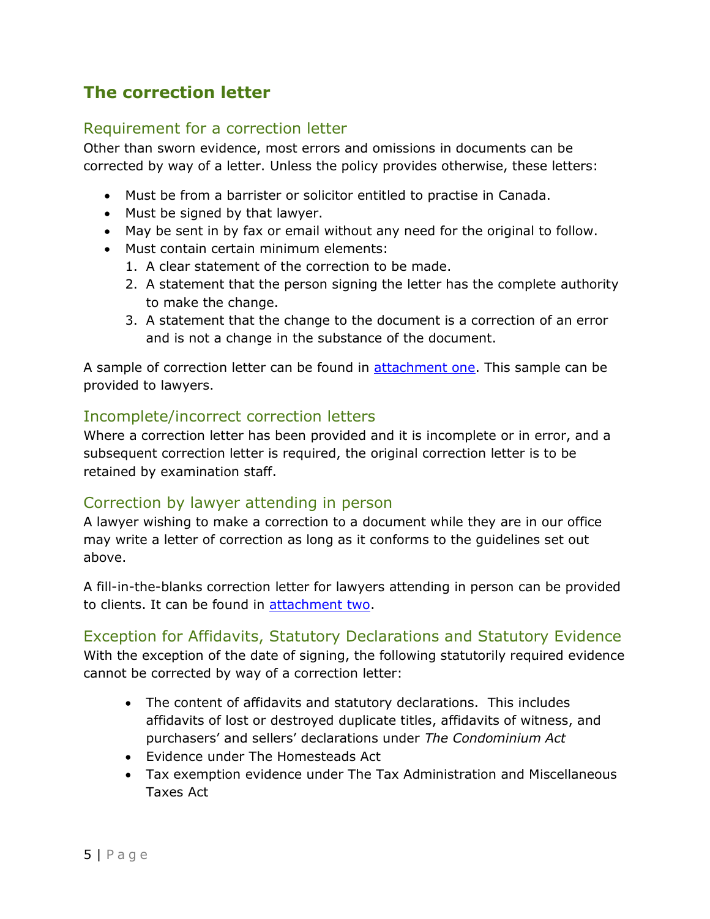# The correction letter

#### Requirement for a correction letter

Other than sworn evidence, most errors and omissions in documents can be corrected by way of a letter. Unless the policy provides otherwise, these letters:

- Must be from a barrister or solicitor entitled to practise in Canada.
- Must be signed by that lawyer.
- May be sent in by fax or email without any need for the original to follow.
- Must contain certain minimum elements:
	- 1. A clear statement of the correction to be made.
	- 2. A statement that the person signing the letter has the complete authority to make the change.
	- 3. A statement that the change to the document is a correction of an error and is not a change in the substance of the document.

A sample of correction letter can be found in **attachment one**. This sample can be provided to lawyers.

#### Incomplete/incorrect correction letters

Where a correction letter has been provided and it is incomplete or in error, and a subsequent correction letter is required, the original correction letter is to be retained by examination staff.

#### Correction by lawyer attending in person

A lawyer wishing to make a correction to a document while they are in our office may write a letter of correction as long as it conforms to the guidelines set out above.

A fill-in-the-blanks correction letter for lawyers attending in person can be provided to clients. It can be found in attachment two.

#### Exception for Affidavits, Statutory Declarations and Statutory Evidence

With the exception of the date of signing, the following statutorily required evidence cannot be corrected by way of a correction letter:

- The content of affidavits and statutory declarations. This includes affidavits of lost or destroyed duplicate titles, affidavits of witness, and purchasers' and sellers' declarations under The Condominium Act
- Evidence under The Homesteads Act
- Tax exemption evidence under The Tax Administration and Miscellaneous Taxes Act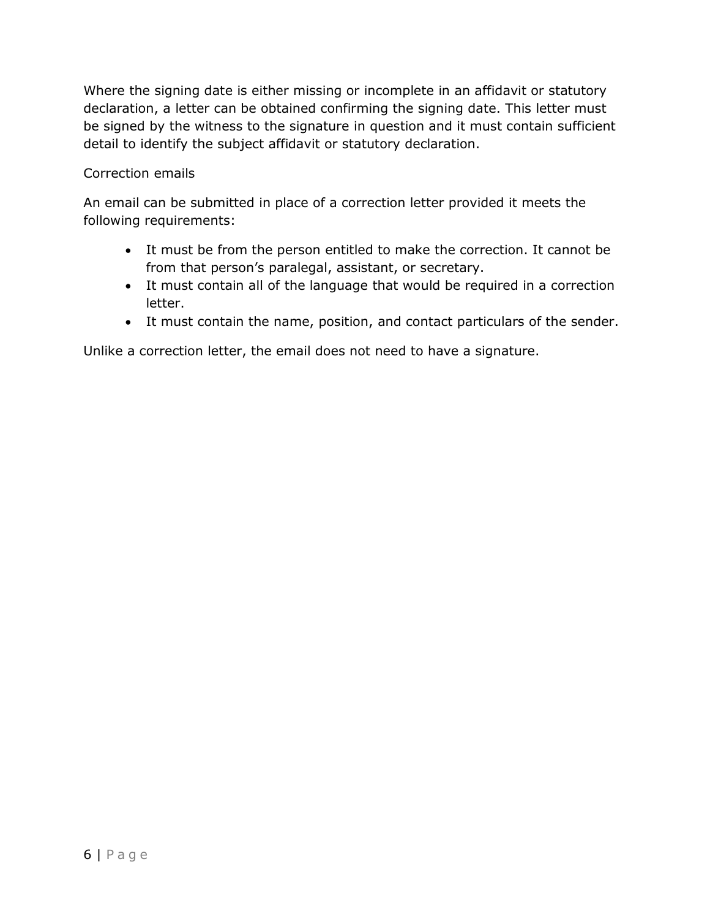Where the signing date is either missing or incomplete in an affidavit or statutory declaration, a letter can be obtained confirming the signing date. This letter must be signed by the witness to the signature in question and it must contain sufficient detail to identify the subject affidavit or statutory declaration.

#### Correction emails

An email can be submitted in place of a correction letter provided it meets the following requirements:

- It must be from the person entitled to make the correction. It cannot be from that person's paralegal, assistant, or secretary.
- It must contain all of the language that would be required in a correction letter.
- It must contain the name, position, and contact particulars of the sender.

Unlike a correction letter, the email does not need to have a signature.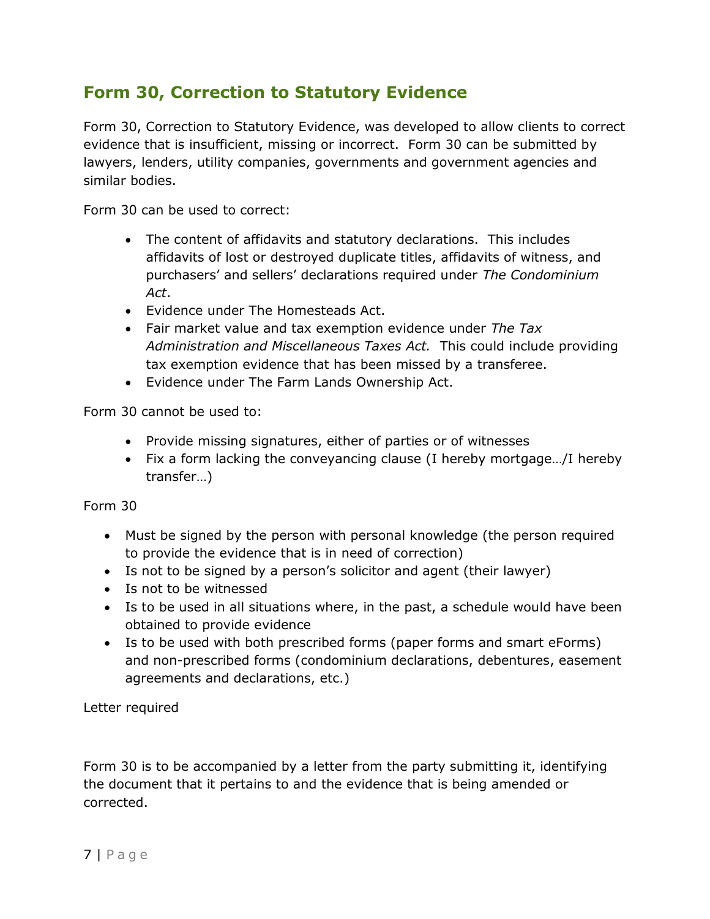# Form 30, Correction to Statutory Evidence

Form 30, Correction to Statutory Evidence, was developed to allow clients to correct evidence that is insufficient, missing or incorrect. Form 30 can be submitted by lawyers, lenders, utility companies, governments and government agencies and similar bodies.

Form 30 can be used to correct:

- The content of affidavits and statutory declarations. This includes affidavits of lost or destroyed duplicate titles, affidavits of witness, and purchasers' and sellers' declarations required under The Condominium Act.
- Evidence under The Homesteads Act.
- Fair market value and tax exemption evidence under The Tax Administration and Miscellaneous Taxes Act. This could include providing tax exemption evidence that has been missed by a transferee.
- Evidence under The Farm Lands Ownership Act.

Form 30 cannot be used to:

- Provide missing signatures, either of parties or of witnesses
- Fix a form lacking the conveyancing clause (I hereby mortgage…/I hereby transfer…)

Form 30

- Must be signed by the person with personal knowledge (the person required to provide the evidence that is in need of correction)
- Is not to be signed by a person's solicitor and agent (their lawyer)
- Is not to be witnessed
- Is to be used in all situations where, in the past, a schedule would have been obtained to provide evidence
- Is to be used with both prescribed forms (paper forms and smart eForms) and non-prescribed forms (condominium declarations, debentures, easement agreements and declarations, etc.)

Letter required

Form 30 is to be accompanied by a letter from the party submitting it, identifying the document that it pertains to and the evidence that is being amended or corrected.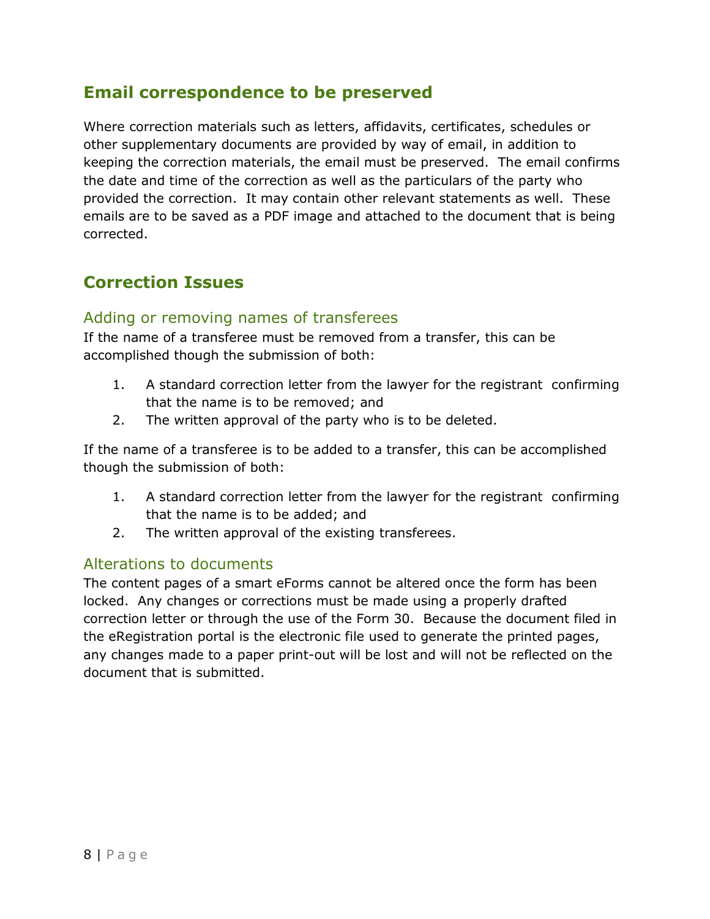# Email correspondence to be preserved

Where correction materials such as letters, affidavits, certificates, schedules or other supplementary documents are provided by way of email, in addition to keeping the correction materials, the email must be preserved. The email confirms the date and time of the correction as well as the particulars of the party who provided the correction. It may contain other relevant statements as well. These emails are to be saved as a PDF image and attached to the document that is being corrected.

# Correction Issues

#### Adding or removing names of transferees

If the name of a transferee must be removed from a transfer, this can be accomplished though the submission of both:

- 1. A standard correction letter from the lawyer for the registrant confirming that the name is to be removed; and
- 2. The written approval of the party who is to be deleted.

If the name of a transferee is to be added to a transfer, this can be accomplished though the submission of both:

- 1. A standard correction letter from the lawyer for the registrant confirming that the name is to be added; and
- 2. The written approval of the existing transferees.

#### Alterations to documents

The content pages of a smart eForms cannot be altered once the form has been locked. Any changes or corrections must be made using a properly drafted correction letter or through the use of the Form 30. Because the document filed in the eRegistration portal is the electronic file used to generate the printed pages, any changes made to a paper print-out will be lost and will not be reflected on the document that is submitted.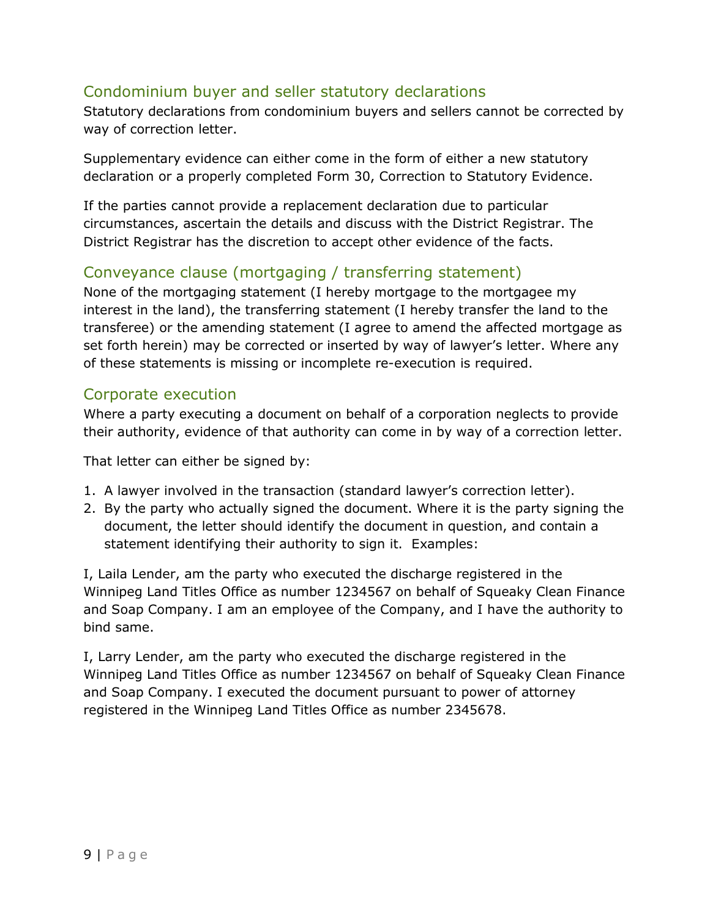# Condominium buyer and seller statutory declarations

Statutory declarations from condominium buyers and sellers cannot be corrected by way of correction letter.

Supplementary evidence can either come in the form of either a new statutory declaration or a properly completed Form 30, Correction to Statutory Evidence.

If the parties cannot provide a replacement declaration due to particular circumstances, ascertain the details and discuss with the District Registrar. The District Registrar has the discretion to accept other evidence of the facts.

## Conveyance clause (mortgaging / transferring statement)

None of the mortgaging statement (I hereby mortgage to the mortgagee my interest in the land), the transferring statement (I hereby transfer the land to the transferee) or the amending statement (I agree to amend the affected mortgage as set forth herein) may be corrected or inserted by way of lawyer's letter. Where any of these statements is missing or incomplete re-execution is required.

#### Corporate execution

Where a party executing a document on behalf of a corporation neglects to provide their authority, evidence of that authority can come in by way of a correction letter.

That letter can either be signed by:

- 1. A lawyer involved in the transaction (standard lawyer's correction letter).
- 2. By the party who actually signed the document. Where it is the party signing the document, the letter should identify the document in question, and contain a statement identifying their authority to sign it. Examples:

I, Laila Lender, am the party who executed the discharge registered in the Winnipeg Land Titles Office as number 1234567 on behalf of Squeaky Clean Finance and Soap Company. I am an employee of the Company, and I have the authority to bind same.

I, Larry Lender, am the party who executed the discharge registered in the Winnipeg Land Titles Office as number 1234567 on behalf of Squeaky Clean Finance and Soap Company. I executed the document pursuant to power of attorney registered in the Winnipeg Land Titles Office as number 2345678.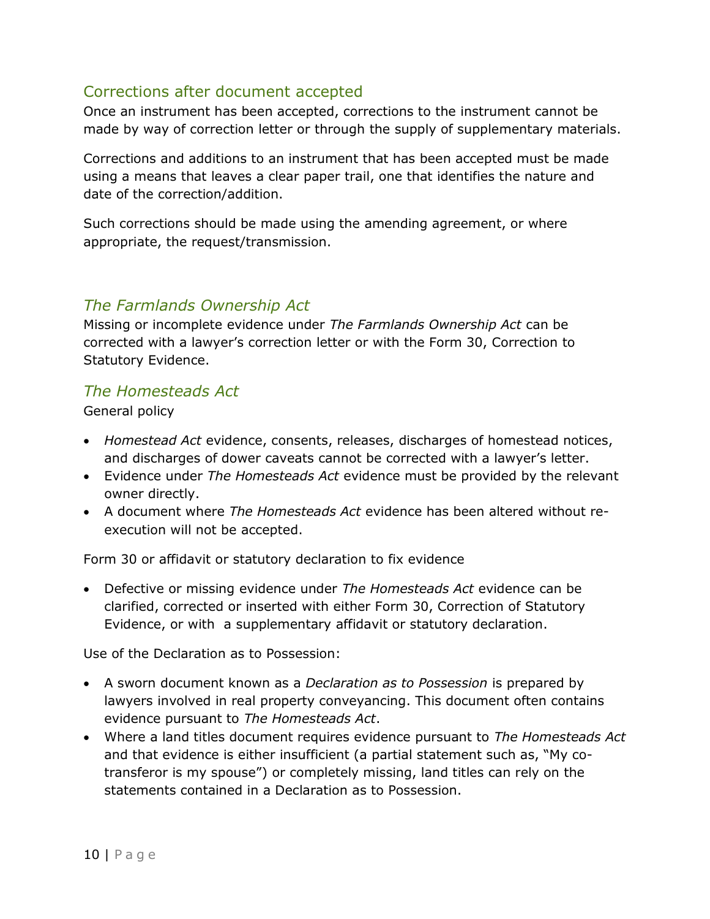## Corrections after document accepted

Once an instrument has been accepted, corrections to the instrument cannot be made by way of correction letter or through the supply of supplementary materials.

Corrections and additions to an instrument that has been accepted must be made using a means that leaves a clear paper trail, one that identifies the nature and date of the correction/addition.

Such corrections should be made using the amending agreement, or where appropriate, the request/transmission.

## The Farmlands Ownership Act

Missing or incomplete evidence under The Farmlands Ownership Act can be corrected with a lawyer's correction letter or with the Form 30, Correction to Statutory Evidence.

#### The Homesteads Act

General policy

- Homestead Act evidence, consents, releases, discharges of homestead notices, and discharges of dower caveats cannot be corrected with a lawyer's letter.
- Evidence under The Homesteads Act evidence must be provided by the relevant owner directly.
- A document where The Homesteads Act evidence has been altered without reexecution will not be accepted.

Form 30 or affidavit or statutory declaration to fix evidence

• Defective or missing evidence under The Homesteads Act evidence can be clarified, corrected or inserted with either Form 30, Correction of Statutory Evidence, or with a supplementary affidavit or statutory declaration.

Use of the Declaration as to Possession:

- A sworn document known as a *Declaration as to Possession* is prepared by lawyers involved in real property conveyancing. This document often contains evidence pursuant to The Homesteads Act.
- Where a land titles document requires evidence pursuant to The Homesteads Act and that evidence is either insufficient (a partial statement such as, "My cotransferor is my spouse") or completely missing, land titles can rely on the statements contained in a Declaration as to Possession.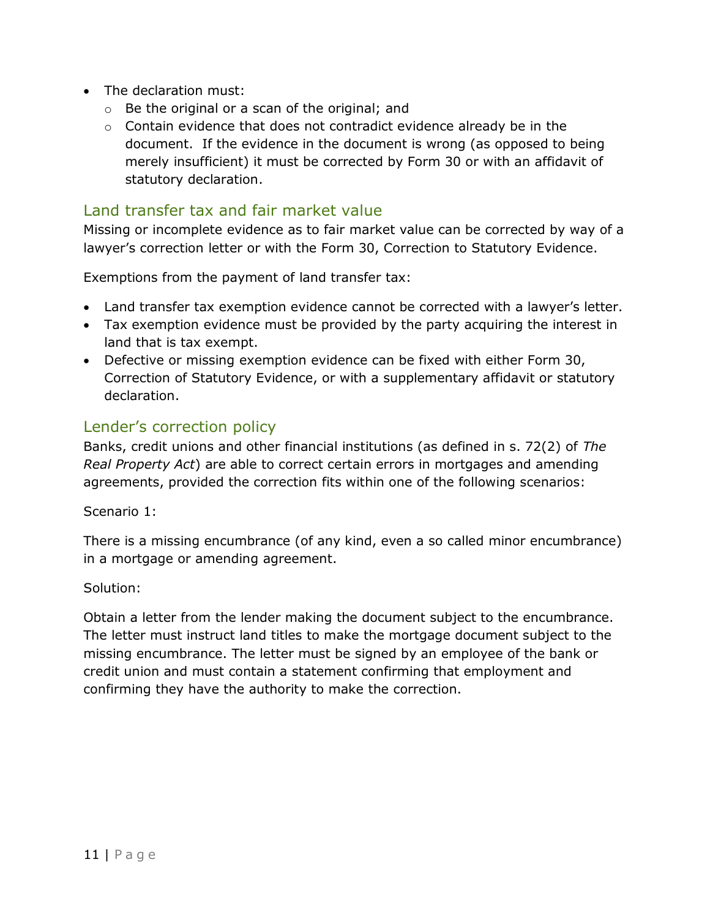- The declaration must:
	- o Be the original or a scan of the original; and
	- $\circ$  Contain evidence that does not contradict evidence already be in the document. If the evidence in the document is wrong (as opposed to being merely insufficient) it must be corrected by Form 30 or with an affidavit of statutory declaration.

#### Land transfer tax and fair market value

Missing or incomplete evidence as to fair market value can be corrected by way of a lawyer's correction letter or with the Form 30, Correction to Statutory Evidence.

Exemptions from the payment of land transfer tax:

- Land transfer tax exemption evidence cannot be corrected with a lawyer's letter.
- Tax exemption evidence must be provided by the party acquiring the interest in land that is tax exempt.
- Defective or missing exemption evidence can be fixed with either Form 30, Correction of Statutory Evidence, or with a supplementary affidavit or statutory declaration.

#### Lender's correction policy

Banks, credit unions and other financial institutions (as defined in s. 72(2) of The Real Property Act) are able to correct certain errors in mortgages and amending agreements, provided the correction fits within one of the following scenarios:

Scenario 1:

There is a missing encumbrance (of any kind, even a so called minor encumbrance) in a mortgage or amending agreement.

Solution:

Obtain a letter from the lender making the document subject to the encumbrance. The letter must instruct land titles to make the mortgage document subject to the missing encumbrance. The letter must be signed by an employee of the bank or credit union and must contain a statement confirming that employment and confirming they have the authority to make the correction.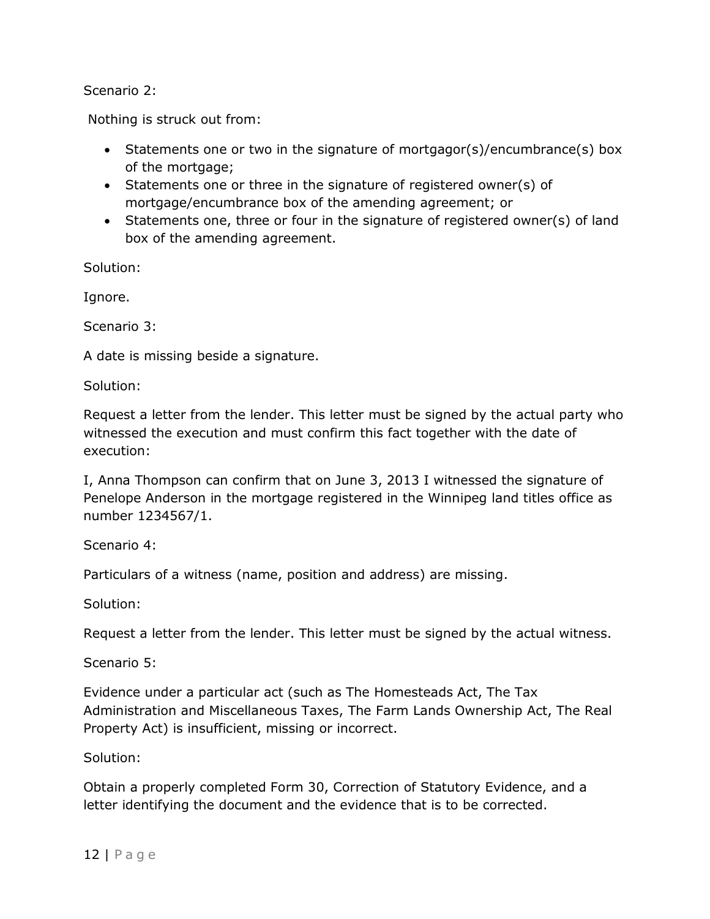Scenario 2:

Nothing is struck out from:

- Statements one or two in the signature of mortgagor(s)/encumbrance(s) box of the mortgage;
- Statements one or three in the signature of registered owner(s) of mortgage/encumbrance box of the amending agreement; or
- Statements one, three or four in the signature of registered owner(s) of land box of the amending agreement.

Solution:

Ignore.

Scenario 3:

A date is missing beside a signature.

Solution:

Request a letter from the lender. This letter must be signed by the actual party who witnessed the execution and must confirm this fact together with the date of execution:

I, Anna Thompson can confirm that on June 3, 2013 I witnessed the signature of Penelope Anderson in the mortgage registered in the Winnipeg land titles office as number 1234567/1.

Scenario 4:

Particulars of a witness (name, position and address) are missing.

Solution:

Request a letter from the lender. This letter must be signed by the actual witness.

Scenario 5:

Evidence under a particular act (such as The Homesteads Act, The Tax Administration and Miscellaneous Taxes, The Farm Lands Ownership Act, The Real Property Act) is insufficient, missing or incorrect.

Solution:

Obtain a properly completed Form 30, Correction of Statutory Evidence, and a letter identifying the document and the evidence that is to be corrected.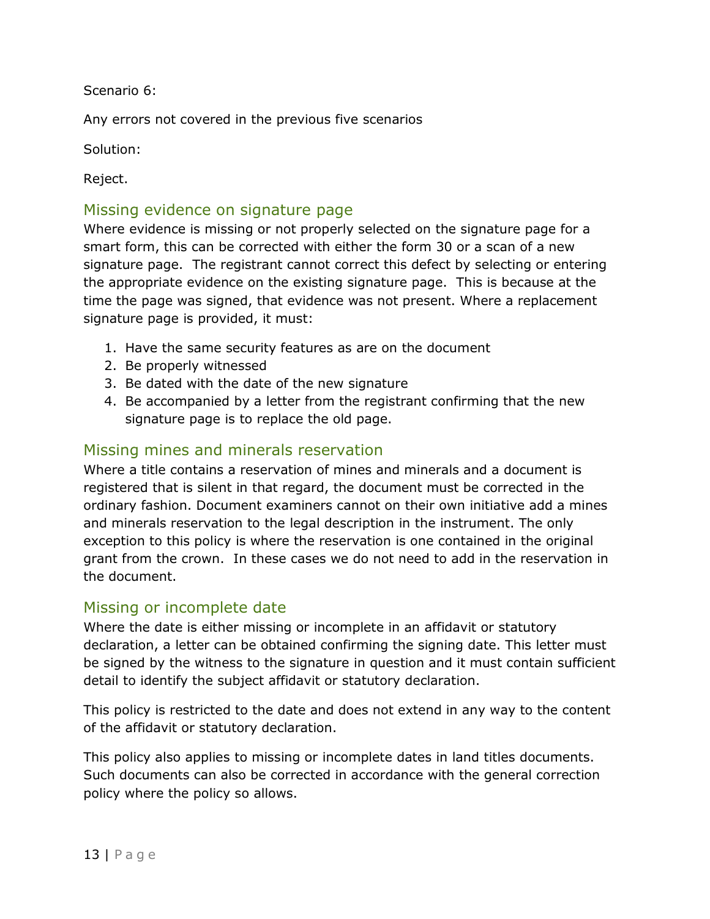Scenario 6:

Any errors not covered in the previous five scenarios

Solution:

Reject.

#### Missing evidence on signature page

Where evidence is missing or not properly selected on the signature page for a smart form, this can be corrected with either the form 30 or a scan of a new signature page. The registrant cannot correct this defect by selecting or entering the appropriate evidence on the existing signature page. This is because at the time the page was signed, that evidence was not present. Where a replacement signature page is provided, it must:

- 1. Have the same security features as are on the document
- 2. Be properly witnessed
- 3. Be dated with the date of the new signature
- 4. Be accompanied by a letter from the registrant confirming that the new signature page is to replace the old page.

#### Missing mines and minerals reservation

Where a title contains a reservation of mines and minerals and a document is registered that is silent in that regard, the document must be corrected in the ordinary fashion. Document examiners cannot on their own initiative add a mines and minerals reservation to the legal description in the instrument. The only exception to this policy is where the reservation is one contained in the original grant from the crown. In these cases we do not need to add in the reservation in the document.

#### Missing or incomplete date

Where the date is either missing or incomplete in an affidavit or statutory declaration, a letter can be obtained confirming the signing date. This letter must be signed by the witness to the signature in question and it must contain sufficient detail to identify the subject affidavit or statutory declaration.

This policy is restricted to the date and does not extend in any way to the content of the affidavit or statutory declaration.

This policy also applies to missing or incomplete dates in land titles documents. Such documents can also be corrected in accordance with the general correction policy where the policy so allows.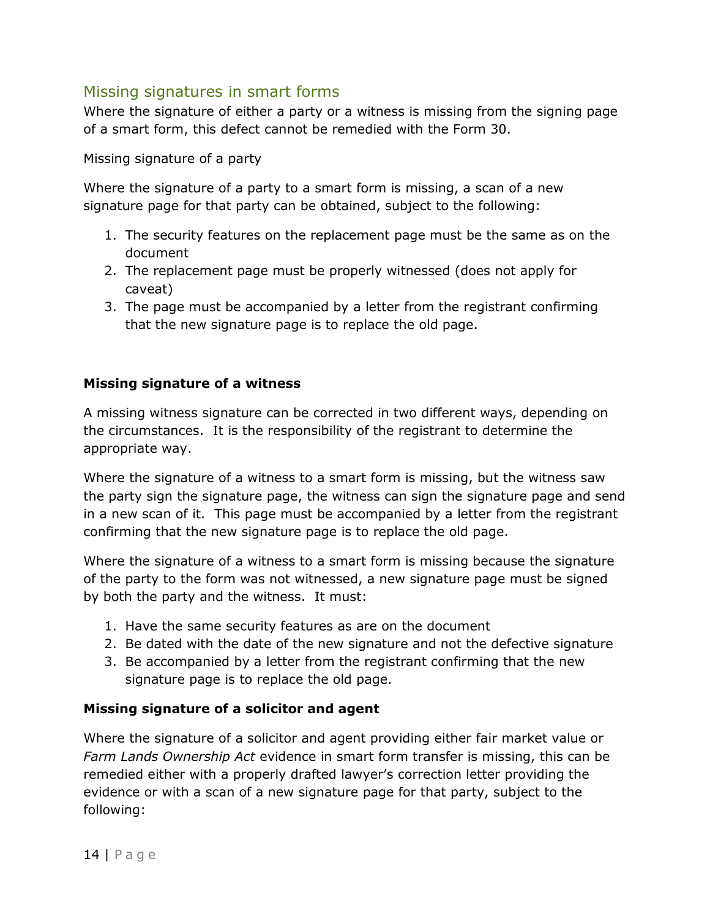## Missing signatures in smart forms

Where the signature of either a party or a witness is missing from the signing page of a smart form, this defect cannot be remedied with the Form 30.

Missing signature of a party

Where the signature of a party to a smart form is missing, a scan of a new signature page for that party can be obtained, subject to the following:

- 1. The security features on the replacement page must be the same as on the document
- 2. The replacement page must be properly witnessed (does not apply for caveat)
- 3. The page must be accompanied by a letter from the registrant confirming that the new signature page is to replace the old page.

#### Missing signature of a witness

A missing witness signature can be corrected in two different ways, depending on the circumstances. It is the responsibility of the registrant to determine the appropriate way.

Where the signature of a witness to a smart form is missing, but the witness saw the party sign the signature page, the witness can sign the signature page and send in a new scan of it. This page must be accompanied by a letter from the registrant confirming that the new signature page is to replace the old page.

Where the signature of a witness to a smart form is missing because the signature of the party to the form was not witnessed, a new signature page must be signed by both the party and the witness. It must:

- 1. Have the same security features as are on the document
- 2. Be dated with the date of the new signature and not the defective signature
- 3. Be accompanied by a letter from the registrant confirming that the new signature page is to replace the old page.

#### Missing signature of a solicitor and agent

Where the signature of a solicitor and agent providing either fair market value or Farm Lands Ownership Act evidence in smart form transfer is missing, this can be remedied either with a properly drafted lawyer's correction letter providing the evidence or with a scan of a new signature page for that party, subject to the following: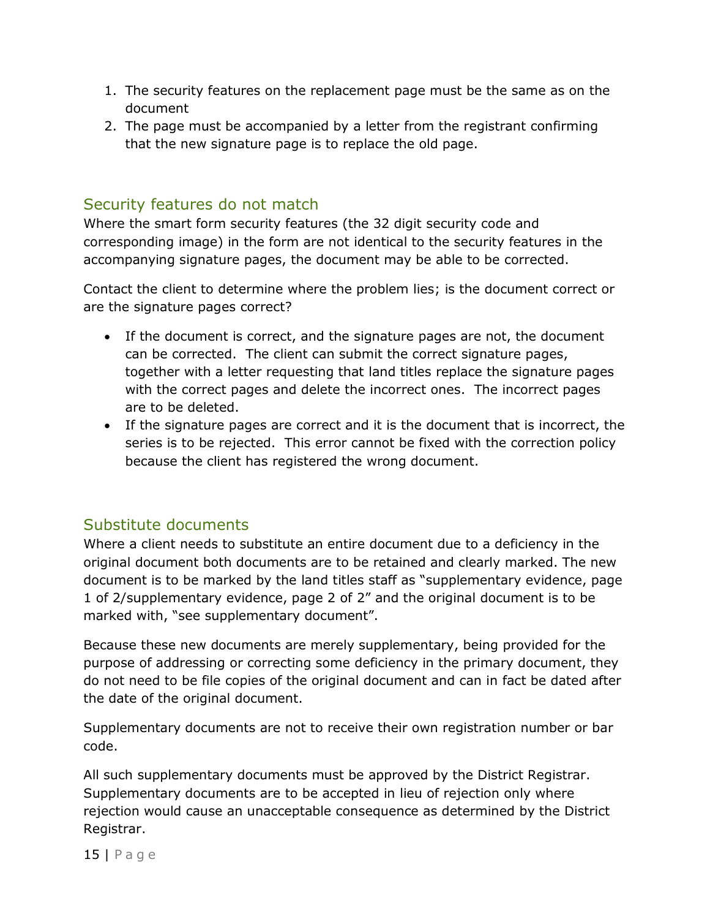- 1. The security features on the replacement page must be the same as on the document
- 2. The page must be accompanied by a letter from the registrant confirming that the new signature page is to replace the old page.

## Security features do not match

Where the smart form security features (the 32 digit security code and corresponding image) in the form are not identical to the security features in the accompanying signature pages, the document may be able to be corrected.

Contact the client to determine where the problem lies; is the document correct or are the signature pages correct?

- If the document is correct, and the signature pages are not, the document can be corrected. The client can submit the correct signature pages, together with a letter requesting that land titles replace the signature pages with the correct pages and delete the incorrect ones. The incorrect pages are to be deleted.
- If the signature pages are correct and it is the document that is incorrect, the series is to be rejected. This error cannot be fixed with the correction policy because the client has registered the wrong document.

## Substitute documents

Where a client needs to substitute an entire document due to a deficiency in the original document both documents are to be retained and clearly marked. The new document is to be marked by the land titles staff as "supplementary evidence, page 1 of 2/supplementary evidence, page 2 of 2" and the original document is to be marked with, "see supplementary document".

Because these new documents are merely supplementary, being provided for the purpose of addressing or correcting some deficiency in the primary document, they do not need to be file copies of the original document and can in fact be dated after the date of the original document.

Supplementary documents are not to receive their own registration number or bar code.

All such supplementary documents must be approved by the District Registrar. Supplementary documents are to be accepted in lieu of rejection only where rejection would cause an unacceptable consequence as determined by the District Registrar.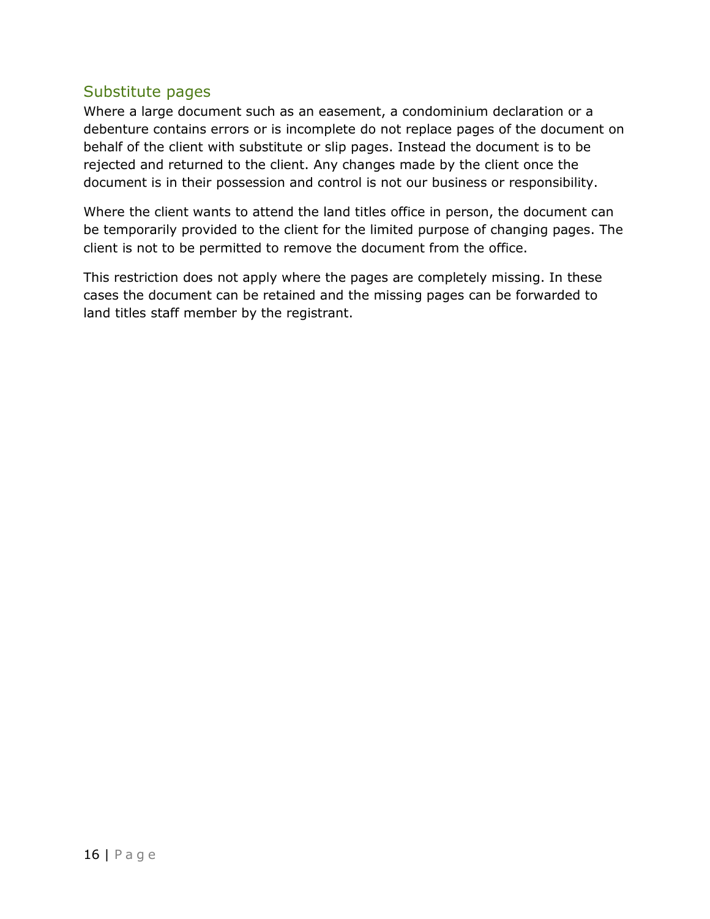#### Substitute pages

Where a large document such as an easement, a condominium declaration or a debenture contains errors or is incomplete do not replace pages of the document on behalf of the client with substitute or slip pages. Instead the document is to be rejected and returned to the client. Any changes made by the client once the document is in their possession and control is not our business or responsibility.

Where the client wants to attend the land titles office in person, the document can be temporarily provided to the client for the limited purpose of changing pages. The client is not to be permitted to remove the document from the office.

This restriction does not apply where the pages are completely missing. In these cases the document can be retained and the missing pages can be forwarded to land titles staff member by the registrant.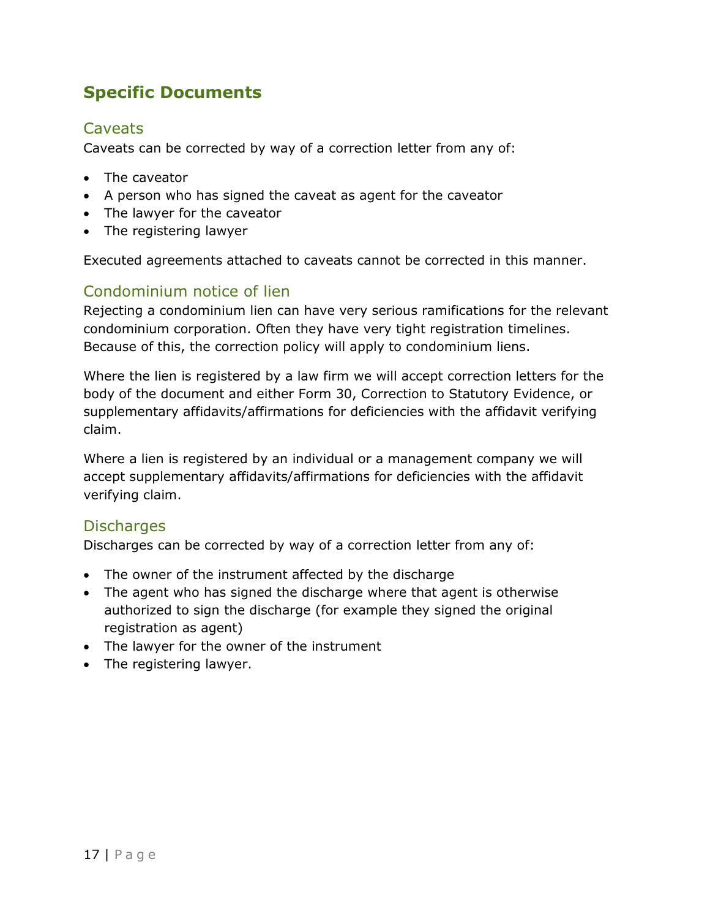# Specific Documents

## **Caveats**

Caveats can be corrected by way of a correction letter from any of:

- The caveator
- A person who has signed the caveat as agent for the caveator
- The lawyer for the caveator
- The registering lawyer

Executed agreements attached to caveats cannot be corrected in this manner.

#### Condominium notice of lien

Rejecting a condominium lien can have very serious ramifications for the relevant condominium corporation. Often they have very tight registration timelines. Because of this, the correction policy will apply to condominium liens.

Where the lien is registered by a law firm we will accept correction letters for the body of the document and either Form 30, Correction to Statutory Evidence, or supplementary affidavits/affirmations for deficiencies with the affidavit verifying claim.

Where a lien is registered by an individual or a management company we will accept supplementary affidavits/affirmations for deficiencies with the affidavit verifying claim.

#### **Discharges**

Discharges can be corrected by way of a correction letter from any of:

- The owner of the instrument affected by the discharge
- The agent who has signed the discharge where that agent is otherwise authorized to sign the discharge (for example they signed the original registration as agent)
- The lawyer for the owner of the instrument
- The registering lawyer.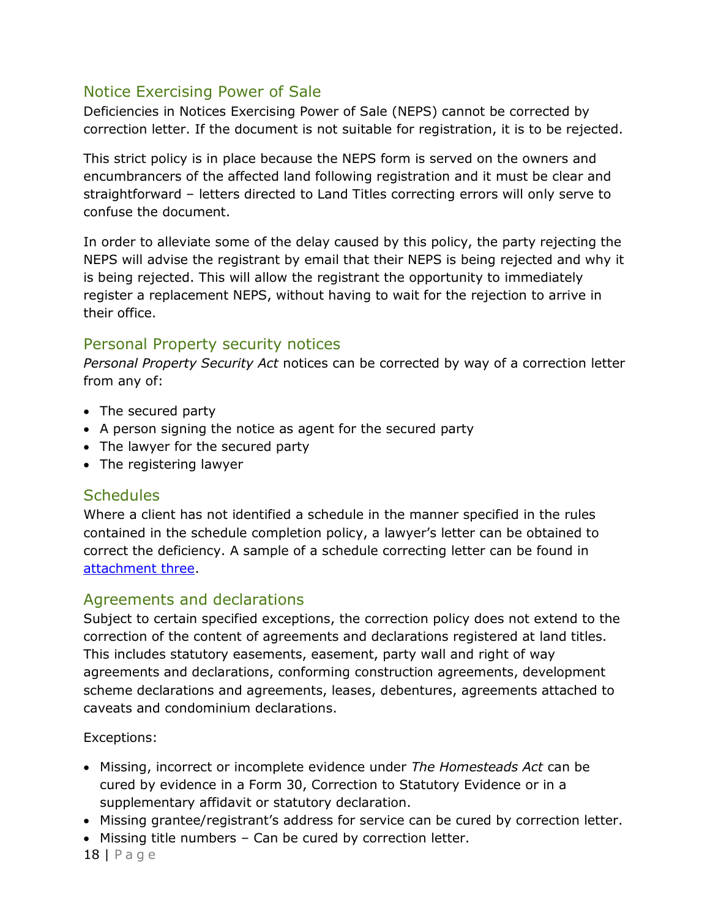## Notice Exercising Power of Sale

Deficiencies in Notices Exercising Power of Sale (NEPS) cannot be corrected by correction letter. If the document is not suitable for registration, it is to be rejected.

This strict policy is in place because the NEPS form is served on the owners and encumbrancers of the affected land following registration and it must be clear and straightforward – letters directed to Land Titles correcting errors will only serve to confuse the document.

In order to alleviate some of the delay caused by this policy, the party rejecting the NEPS will advise the registrant by email that their NEPS is being rejected and why it is being rejected. This will allow the registrant the opportunity to immediately register a replacement NEPS, without having to wait for the rejection to arrive in their office.

## Personal Property security notices

Personal Property Security Act notices can be corrected by way of a correction letter from any of:

- The secured party
- A person signing the notice as agent for the secured party
- The lawyer for the secured party
- The registering lawyer

#### **Schedules**

Where a client has not identified a schedule in the manner specified in the rules contained in the schedule completion policy, a lawyer's letter can be obtained to correct the deficiency. A sample of a schedule correcting letter can be found in attachment three.

## Agreements and declarations

Subject to certain specified exceptions, the correction policy does not extend to the correction of the content of agreements and declarations registered at land titles. This includes statutory easements, easement, party wall and right of way agreements and declarations, conforming construction agreements, development scheme declarations and agreements, leases, debentures, agreements attached to caveats and condominium declarations.

Exceptions:

- Missing, incorrect or incomplete evidence under The Homesteads Act can be cured by evidence in a Form 30, Correction to Statutory Evidence or in a supplementary affidavit or statutory declaration.
- Missing grantee/registrant's address for service can be cured by correction letter.
- Missing title numbers Can be cured by correction letter.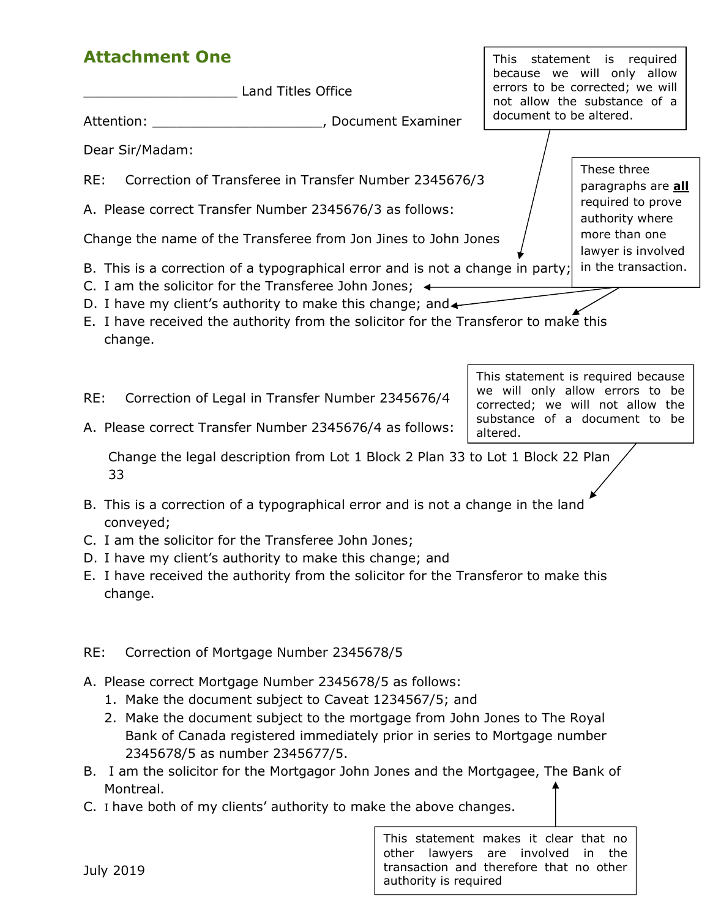# Attachment One

| <b>Attachment One</b>                                                                                                                                                                                                                                                                                                                                                                            |                                           |                                                                                                  | This statement is required                                                                                                                 |  |  |
|--------------------------------------------------------------------------------------------------------------------------------------------------------------------------------------------------------------------------------------------------------------------------------------------------------------------------------------------------------------------------------------------------|-------------------------------------------|--------------------------------------------------------------------------------------------------|--------------------------------------------------------------------------------------------------------------------------------------------|--|--|
| <b>Land Titles Office</b>                                                                                                                                                                                                                                                                                                                                                                        |                                           |                                                                                                  | because we will only allow<br>errors to be corrected; we will<br>not allow the substance of a                                              |  |  |
| Attention:                                                                                                                                                                                                                                                                                                                                                                                       | , Document Examiner                       | document to be altered.                                                                          |                                                                                                                                            |  |  |
| Dear Sir/Madam:                                                                                                                                                                                                                                                                                                                                                                                  |                                           |                                                                                                  |                                                                                                                                            |  |  |
| Correction of Transferee in Transfer Number 2345676/3<br>RE:                                                                                                                                                                                                                                                                                                                                     |                                           |                                                                                                  | These three<br>paragraphs are <b>all</b>                                                                                                   |  |  |
| A. Please correct Transfer Number 2345676/3 as follows:                                                                                                                                                                                                                                                                                                                                          |                                           |                                                                                                  | required to prove<br>authority where                                                                                                       |  |  |
| Change the name of the Transferee from Jon Jines to John Jones                                                                                                                                                                                                                                                                                                                                   |                                           |                                                                                                  | more than one<br>lawyer is involved                                                                                                        |  |  |
| B. This is a correction of a typographical error and is not a change in party;<br>C. I am the solicitor for the Transferee John Jones; $\triangleleft$                                                                                                                                                                                                                                           |                                           |                                                                                                  | in the transaction.                                                                                                                        |  |  |
| D. I have my client's authority to make this change; and $\leftarrow$<br>E. I have received the authority from the solicitor for the Transferor to make this<br>change.                                                                                                                                                                                                                          |                                           |                                                                                                  |                                                                                                                                            |  |  |
| RE:<br>Correction of Legal in Transfer Number 2345676/4<br>A. Please correct Transfer Number 2345676/4 as follows:                                                                                                                                                                                                                                                                               |                                           | altered.                                                                                         | This statement is required because<br>we will only allow errors to be<br>corrected; we will not allow the<br>substance of a document to be |  |  |
| Change the legal description from Lot 1 Block 2 Plan 33 to Lot 1 Block 22 Plan<br>33                                                                                                                                                                                                                                                                                                             |                                           |                                                                                                  |                                                                                                                                            |  |  |
| B. This is a correction of a typographical error and is not a change in the land<br>conveyed;<br>C. I am the solicitor for the Transferee John Jones;<br>D. I have my client's authority to make this change; and<br>E. I have received the authority from the solicitor for the Transferor to make this<br>change.                                                                              |                                           |                                                                                                  |                                                                                                                                            |  |  |
| Correction of Mortgage Number 2345678/5<br>RE:                                                                                                                                                                                                                                                                                                                                                   |                                           |                                                                                                  |                                                                                                                                            |  |  |
| A. Please correct Mortgage Number 2345678/5 as follows:<br>1. Make the document subject to Caveat 1234567/5; and<br>2. Make the document subject to the mortgage from John Jones to The Royal<br>Bank of Canada registered immediately prior in series to Mortgage number<br>2345678/5 as number 2345677/5.<br>B. I am the solicitor for the Mortgagor John Jones and the Mortgagee, The Bank of |                                           |                                                                                                  |                                                                                                                                            |  |  |
| Montreal.                                                                                                                                                                                                                                                                                                                                                                                        |                                           |                                                                                                  |                                                                                                                                            |  |  |
| C. I have both of my clients' authority to make the above changes.                                                                                                                                                                                                                                                                                                                               |                                           |                                                                                                  |                                                                                                                                            |  |  |
| <b>July 2019</b>                                                                                                                                                                                                                                                                                                                                                                                 | other<br>lawyers<br>authority is required | This statement makes it clear that no<br>are involved<br>transaction and therefore that no other | the<br>in.                                                                                                                                 |  |  |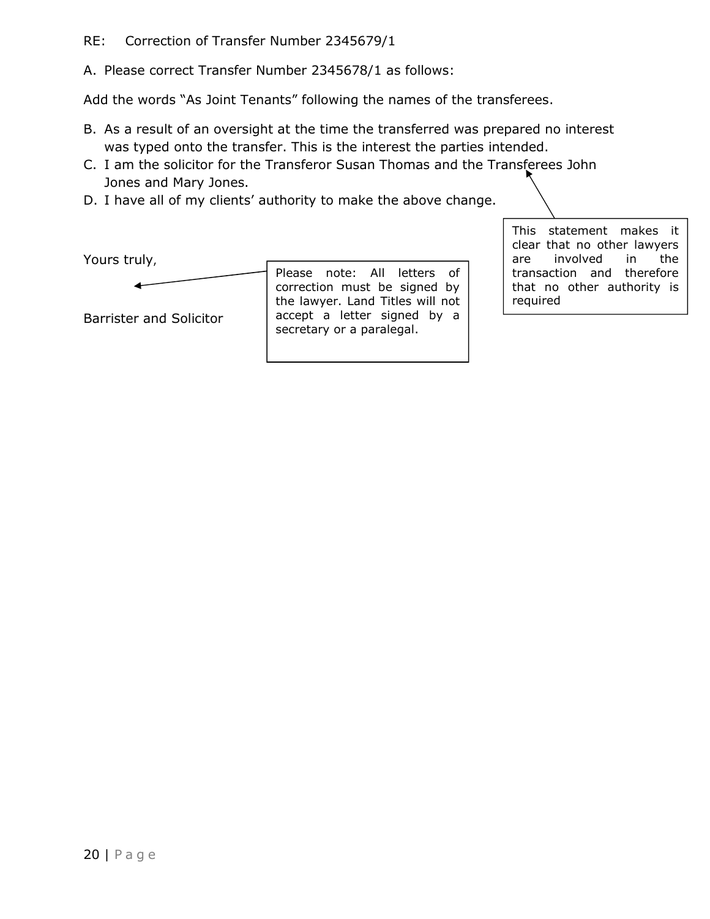#### RE: Correction of Transfer Number 2345679/1

A. Please correct Transfer Number 2345678/1 as follows:

Add the words "As Joint Tenants" following the names of the transferees.

- B. As a result of an oversight at the time the transferred was prepared no interest was typed onto the transfer. This is the interest the parties intended.
- C. I am the solicitor for the Transferor Susan Thomas and the Transferees John Jones and Mary Jones.
- D. I have all of my clients' authority to make the above change.

Yours truly,

Barrister and Solicitor Please note: All letters of correction must be signed by the lawyer. Land Titles will not accept a letter signed by a secretary or a paralegal.

This statement makes it clear that no other lawyers are involved in the transaction and therefore that no other authority is required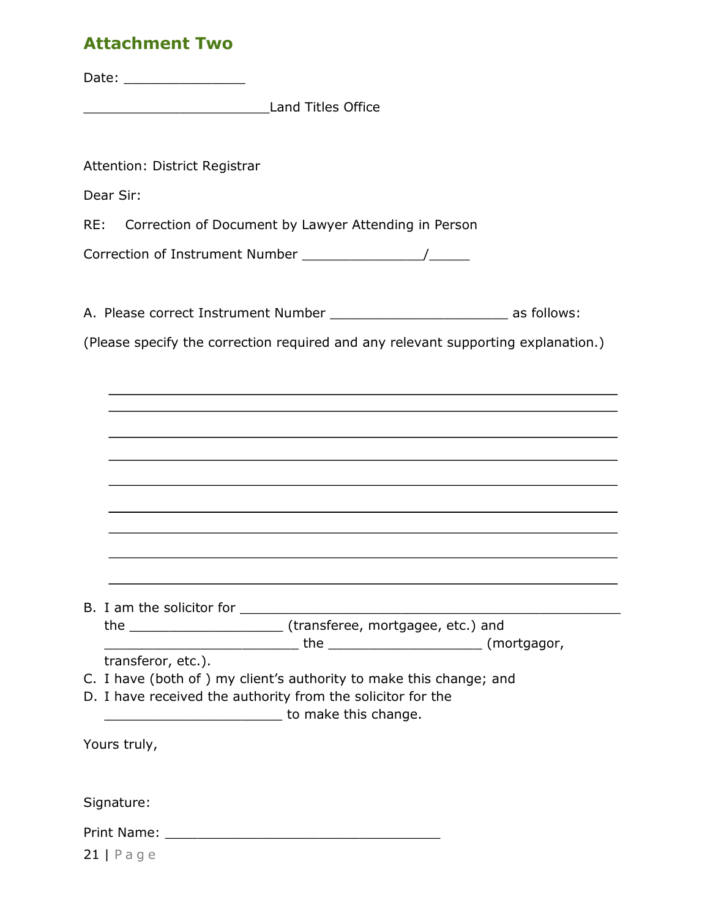# Attachment Two

Date: \_\_\_\_\_\_\_\_\_\_\_\_\_\_\_

\_\_\_\_\_\_\_\_\_\_\_\_\_\_\_\_\_\_\_\_\_\_\_Land Titles Office

Attention: District Registrar

Dear Sir:

RE: Correction of Document by Lawyer Attending in Person

Correction of Instrument Number \_\_\_\_\_\_\_\_\_\_\_\_\_\_\_/\_\_\_\_\_

A. Please correct Instrument Number \_\_\_\_\_\_\_\_\_\_\_\_\_\_\_\_\_\_\_\_\_\_\_\_\_\_\_\_\_\_\_ as follows:

(Please specify the correction required and any relevant supporting explanation.)

| transferor, etc.).                                                  |
|---------------------------------------------------------------------|
| C. I have (both of ) my client's authority to make this change; and |
| D. I have received the authority from the solicitor for the         |
| <b>EXAMPLE 2018</b> To make this change.                            |
|                                                                     |
| Yours truly,                                                        |
|                                                                     |
|                                                                     |
| Signature:                                                          |
|                                                                     |
|                                                                     |
| $21$   Page                                                         |
|                                                                     |